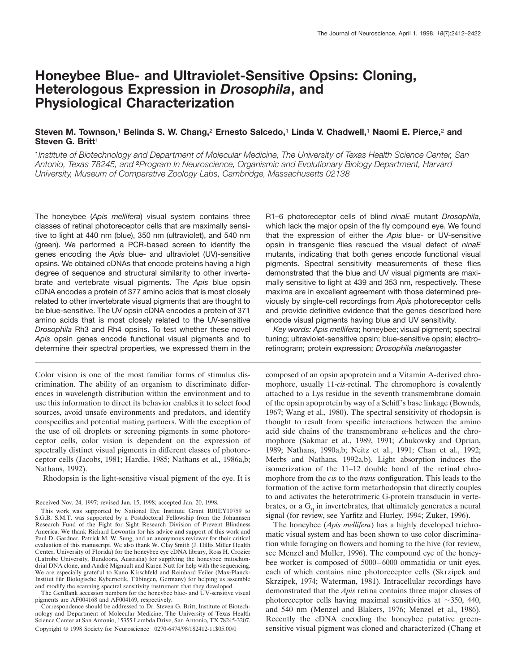# **Honeybee Blue- and Ultraviolet-Sensitive Opsins: Cloning, Heterologous Expression in** *Drosophila***, and Physiological Characterization**

# **Steven M. Townson,**<sup>1</sup> **Belinda S. W. Chang,**<sup>2</sup> **Ernesto Salcedo,**<sup>1</sup> **Linda V. Chadwell,**<sup>1</sup> **Naomi E. Pierce,**<sup>2</sup> **and Steven G. Britt**<sup>1</sup>

<sup>1</sup>*Institute of Biotechnology and Department of Molecular Medicine, The University of Texas Health Science Center, San Antonio, Texas 78245, and* <sup>2</sup>*Program In Neuroscience, Organismic and Evolutionary Biology Department, Harvard University, Museum of Comparative Zoology Labs, Cambridge, Massachusetts 02138*

The honeybee (*Apis mellifera*) visual system contains three classes of retinal photoreceptor cells that are maximally sensitive to light at 440 nm (blue), 350 nm (ultraviolet), and 540 nm (green). We performed a PCR-based screen to identify the genes encoding the *Apis* blue- and ultraviolet (UV)-sensitive opsins. We obtained cDNAs that encode proteins having a high degree of sequence and structural similarity to other invertebrate and vertebrate visual pigments. The *Apis* blue opsin cDNA encodes a protein of 377 amino acids that is most closely related to other invertebrate visual pigments that are thought to be blue-sensitive. The UV opsin cDNA encodes a protein of 371 amino acids that is most closely related to the UV-sensitive *Drosophila* Rh3 and Rh4 opsins. To test whether these novel *Apis* opsin genes encode functional visual pigments and to determine their spectral properties, we expressed them in the

Color vision is one of the most familiar forms of stimulus discrimination. The ability of an organism to discriminate differences in wavelength distribution within the environment and to use this information to direct its behavior enables it to select food sources, avoid unsafe environments and predators, and identify conspecifics and potential mating partners. With the exception of the use of oil droplets or screening pigments in some photoreceptor cells, color vision is dependent on the expression of spectrally distinct visual pigments in different classes of photoreceptor cells (Jacobs, 1981; Hardie, 1985; Nathans et al., 1986a,b; Nathans, 1992).

Rhodopsin is the light-sensitive visual pigment of the eye. It is

R1–6 photoreceptor cells of blind *ninaE* mutant *Drosophila*, which lack the major opsin of the fly compound eye. We found that the expression of either the *Apis* blue- or UV-sensitive opsin in transgenic flies rescued the visual defect of *ninaE* mutants, indicating that both genes encode functional visual pigments. Spectral sensitivity measurements of these flies demonstrated that the blue and UV visual pigments are maximally sensitive to light at 439 and 353 nm, respectively. These maxima are in excellent agreement with those determined previously by single-cell recordings from *Apis* photoreceptor cells and provide definitive evidence that the genes described here encode visual pigments having blue and UV sensitivity.

*Key words: Apis mellifera*; honeybee; visual pigment; spectral tuning; ultraviolet-sensitive opsin; blue-sensitive opsin; electroretinogram; protein expression; *Drosophila melanogaster*

composed of an opsin apoprotein and a Vitamin A-derived chromophore, usually 11-*cis*-retinal. The chromophore is covalently attached to a Lys residue in the seventh transmembrane domain of the opsin apoprotein by way of a Schiff's base linkage (Bownds, 1967; Wang et al., 1980). The spectral sensitivity of rhodopsin is thought to result from specific interactions between the amino acid side chains of the transmembrane  $\alpha$ -helices and the chromophore (Sakmar et al., 1989, 1991; Zhukovsky and Oprian, 1989; Nathans, 1990a,b; Neitz et al., 1991; Chan et al., 1992; Merbs and Nathans, 1992a,b). Light absorption induces the isomerization of the 11–12 double bond of the retinal chromophore from the *cis* to the *trans* configuration. This leads to the formation of the active form metarhodopsin that directly couples to and activates the heterotrimeric G-protein transducin in vertebrates, or a  $G_q$  in invertebrates, that ultimately generates a neural signal (for review, see Yarfitz and Hurley, 1994; Zuker, 1996).

The honeybee (*Apis mellifera*) has a highly developed trichromatic visual system and has been shown to use color discrimination while foraging on flowers and homing to the hive (for review, see Menzel and Muller, 1996). The compound eye of the honeybee worker is composed of 5000–6000 ommatidia or unit eyes, each of which contains nine photoreceptor cells (Skrzipek and Skrzipek, 1974; Waterman, 1981). Intracellular recordings have demonstrated that the *Apis* retina contains three major classes of photoreceptor cells having maximal sensitivities at  $\sim$ 350, 440, and 540 nm (Menzel and Blakers, 1976; Menzel et al., 1986). Recently the cDNA encoding the honeybee putative greensensitive visual pigment was cloned and characterized (Chang et

Received Nov. 24, 1997; revised Jan. 15, 1998; accepted Jan. 20, 1998.

This work was supported by National Eye Institute Grant R01EY10759 to S.G.B. S.M.T. was supported by a Postdoctoral Fellowship from the Johannsen Research Fund of the Fight for Sight Research Division of Prevent Blindness America. We thank Richard Lewontin for his advice and support of this work and Paul D. Gardner, Patrick M. W. Sung, and an anonymous reviewer for their critical evaluation of this manuscript. We also thank W. Clay Smith (J. Hillis Miller Health Center, University of Florida) for the honeybee eye cDNA library, Ross H. Crozier (Latrobe University, Bundoora, Australia) for supplying the honeybee mitochondrial DNA clone, and André Mignault and Karen Nutt for help with the sequencing. We are especially grateful to Kuno Kirschfeld and Reinhard Feiler (Max-Planck-Institut für Biologische Kybernetik, Tübingen, Germany) for helping us assemble and modify the scanning spectral sensitivity instrument that they developed.

The GenBank accession numbers for the honeybee blue- and UV-sensitive visual pigments are AF004168 and AF004169, respectively.

Correspondence should be addressed to Dr. Steven G. Britt, Institute of Biotechnology and Department of Molecular Medicine, The University of Texas Health Science Center at San Antonio, 15355 Lambda Drive, San Antonio, TX 78245-3207. Copyright © 1998 Society for Neuroscience 0270-6474/98/182412-11\$05.00/0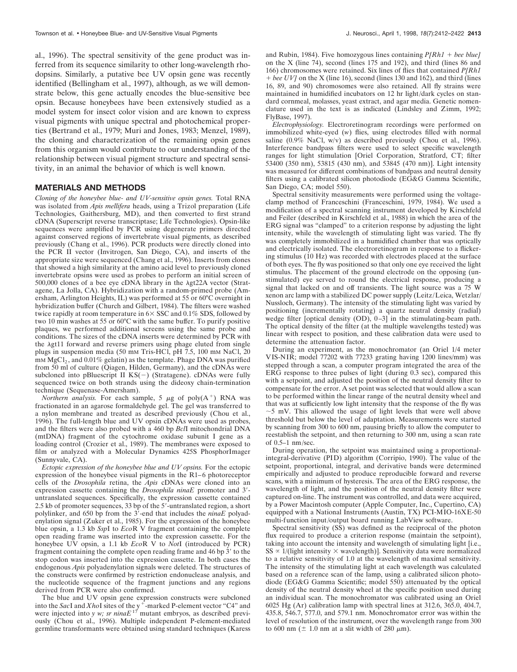al., 1996). The spectral sensitivity of the gene product was inferred from its sequence similarity to other long-wavelength rhodopsins. Similarly, a putative bee UV opsin gene was recently identified (Bellingham et al., 1997), although, as we will demonstrate below, this gene actually encodes the blue-sensitive bee opsin. Because honeybees have been extensively studied as a model system for insect color vision and are known to express visual pigments with unique spectral and photochemical properties (Bertrand et al., 1979; Muri and Jones, 1983; Menzel, 1989), the cloning and characterization of the remaining opsin genes from this organism would contribute to our understanding of the relationship between visual pigment structure and spectral sensitivity, in an animal the behavior of which is well known.

## **MATERIALS AND METHODS**

*Cloning of the honeybee blue- and UV-sensitive opsin genes.* Total RNA was isolated from *Apis mellifera* heads, using a Trizol preparation (Life Technologies, Gaithersburg, MD), and then converted to first strand cDNA (Superscript reverse transcriptase; Life Technologies). Opsin-like sequences were amplified by PCR using degenerate primers directed against conserved regions of invertebrate visual pigments, as described previously (Chang et al., 1996). PCR products were directly cloned into the PCR II vector (Invitrogen, San Diego, CA), and inserts of the appropriate size were sequenced (Chang et al., 1996). Inserts from clones that showed a high similarity at the amino acid level to previously cloned invertebrate opsins were used as probes to perform an initial screen of  $500,000$  clones of a bee eye cDNA library in the  $\lambda$ gt22A vector (Stratagene, La Jolla, CA). Hybridization with a random-primed probe (Amersham, Arlington Heights, IL) was performed at 55 or 60°C overnight in hybridization buffer (Church and Gilbert, 1984). The filters were washed twice rapidly at room temperature in  $6 \times$  SSC and 0.1% SDS, followed by two 10 min washes at 55 or 60°C with the same buffer. To purify positive plaques, we performed additional screens using the same probe and conditions. The sizes of the cDNA inserts were determined by PCR with the  $\lambda$ gt11 forward and reverse primers using phage eluted from single plugs in suspension media (50 mm Tris-HCl, pH 7.5, 100 mm NaCl, 20  $mm MgCl<sub>2</sub>$ , and  $0.01\%$  gelatin) as the template. Phage DNA was purified from 50 ml of culture (Qiagen, Hilden, Germany), and the cDNAs were subcloned into pBluescript II  $KS(-)$  (Stratagene). cDNAs were fully sequenced twice on both strands using the dideoxy chain-termination technique (Sequenase-Amersham).

*Northern analysis.* For each sample, 5  $\mu$ g of poly(A<sup>+</sup>) RNA was fractionated in an agarose formaldehyde gel. The gel was transferred to a nylon membrane and treated as described previously (Chou et al., 1996). The full-length blue and UV opsin cDNAs were used as probes, and the filters were also probed with a 460 bp *Bcl*I mitochondrial DNA (mtDNA) fragment of the cytochrome oxidase subunit I gene as a loading control (Crozier et al., 1989). The membranes were exposed to film or analyzed with a Molecular Dynamics 425S PhosphorImager (Sunnyvale, CA).

*Ectopic expression of the honeybee blue and UV opsins.* For the ectopic expression of the honeybee visual pigments in the R1–6 photoreceptor cells of the *Drosophila* retina, the *Apis* cDNAs were cloned into an expression cassette containing the *Drosophila ninaE* promoter and 3'untranslated sequences. Specifically, the expression cassette contained 2.5 kb of promoter sequences, 33 bp of the  $5'$ -untranslated region, a short polylinker, and 650 bp from the 3'-end that includes the *ninaE* polyadenylation signal (Zuker et al., 1985). For the expression of the honeybee blue opsin, a 1.3 kb *Ssp*I to *Eco*R V fragment containing the complete open reading frame was inserted into the expression cassette. For the honeybee UV opsin, a 1.1 kb *Eco*R V to *Not*I (introduced by PCR) fragment containing the complete open reading frame and 46 bp 3' to the stop codon was inserted into the expression cassette. In both cases the endogenous *Apis* polyadenylation signals were deleted. The structures of the constructs were confirmed by restriction endonuclease analysis, and the nucleotide sequence of the fragment junctions and any regions derived from PCR were also confirmed.

The blue and UV opsin gene expression constructs were subcloned into the *SacI* and *XhoI* sites of the y<sup>+</sup>-marked P-element vector "C4" and were injected into *y w; sr ninaE*<sup>17</sup> mutant embryos, as described previously (Chou et al., 1996). Multiple independent P-element-mediated germline transformants were obtained using standard techniques (Karess

and Rubin, 1984). Five homozygous lines containing  $P/Rh1 +$  bee blue] on the X (line 74), second (lines 175 and 192), and third (lines 86 and 166) chromosomes were retained. Six lines of flies that contained *P[Rh1* 1 *bee UV]* on the X (line 16), second (lines 130 and 162), and third (lines 16, 89, and 90) chromosomes were also retained. All fly strains were maintained in humidified incubators on 12 hr light/dark cycles on standard cornmeal, molasses, yeast extract, and agar media. Genetic nomenclature used in the text is as indicated (Lindsley and Zimm, 1992; FlyBase, 1997).

*Electrophysiology.* Electroretinogram recordings were performed on immobilized white-eyed (*w*) flies, using electrodes filled with normal saline  $(0.9\% \text{ NaCl}, \text{w/v})$  as described previously (Chou et al., 1996). Interference bandpass filters were used to select specific wavelength ranges for light stimulation [Oriel Corporation, Stratford, CT; filter 53400 (350 nm), 53815 (430 nm), and 53845 (470 nm)]. Light intensity was measured for different combinations of bandpass and neutral density filters using a calibrated silicon photodiode (EG&G Gamma Scientific, San Diego, CA; model 550).

Spectral sensitivity measurements were performed using the voltageclamp method of Franceschini (Franceschini, 1979, 1984). We used a modification of a spectral scanning instrument developed by Kirschfeld and Feiler (described in Kirschfeld et al., 1988) in which the area of the ERG signal was "clamped" to a criterion response by adjusting the light intensity, while the wavelength of stimulating light was varied. The fly was completely immobilized in a humidified chamber that was optically and electrically isolated. The electroretinogram in response to a flickering stimulus (10 Hz) was recorded with electrodes placed at the surface of both eyes. The fly was positioned so that only one eye received the light stimulus. The placement of the ground electrode on the opposing (unstimulated) eye served to round the electrical response, producing a signal that lacked on and off transients. The light source was a 75 W xenon arc lamp with a stabilized DC power supply (Leitz/Leica, Wetzlar/ Nussloch, Germany). The intensity of the stimulating light was varied by positioning (incrementally rotating) a quartz neutral density (radial) wedge filter [optical density (OD), 0-3] in the stimulating-beam path. The optical density of the filter (at the multiple wavelengths tested) was linear with respect to position, and these calibration data were used to determine the attenuation factor.

During an experiment, as the monochromator (an Oriel 1/4 meter VIS-NIR; model 77202 with 77233 grating having 1200 lines/mm) was stepped through a scan, a computer program integrated the area of the ERG response to three pulses of light (during 0.3 sec), compared this with a setpoint, and adjusted the position of the neutral density filter to compensate for the error. A set point was selected that would allow a scan to be performed within the linear range of the neutral density wheel and that was at sufficiently low light intensity that the response of the fly was ;5 mV. This allowed the usage of light levels that were well above threshold but below the level of adaptation. Measurements were started by scanning from 300 to 600 nm, pausing briefly to allow the computer to reestablish the setpoint, and then returning to 300 nm, using a scan rate of 0.5–1 nm/sec.

During operation, the setpoint was maintained using a proportionalintegral-derivative (PID) algorithm (Corripio, 1990). The value of the setpoint, proportional, integral, and derivative bands were determined empirically and adjusted to produce reproducible forward and reverse scans, with a minimum of hysteresis. The area of the ERG response, the wavelength of light, and the position of the neutral density filter were captured on-line. The instrument was controlled, and data were acquired, by a Power Macintosh computer (Apple Computer, Inc., Cupertino, CA) equipped with a National Instruments (Austin, TX) PCI-MIO-16XE-50 multi-function input/output board running LabView software.

Spectral sensitivity (SS) was defined as the reciprocal of the photon flux required to produce a criterion response (maintain the setpoint), taking into account the intensity and wavelength of simulating light [i.e.,  $SS \propto 1/(light$  intensity  $\times$  wavelength)]. Sensitivity data were normalized to a relative sensitivity of 1.0 at the wavelength of maximal sensitivity. The intensity of the stimulating light at each wavelength was calculated based on a reference scan of the lamp, using a calibrated silicon photodiode (EG&G Gamma Scientific; model 550) attenuated by the optical density of the neutral density wheel at the specific position used during an individual scan. The monochromator was calibrated using an Oriel 6025 Hg (Ar) calibration lamp with spectral lines at 312.6, 365.0, 404.7, 435.8, 546.7, 577.0, and 579.1 nm. Monochromator error was within the level of resolution of the instrument, over the wavelength range from 300 to 600 nm ( $\pm$  1.0 nm at a slit width of 280  $\mu$ m).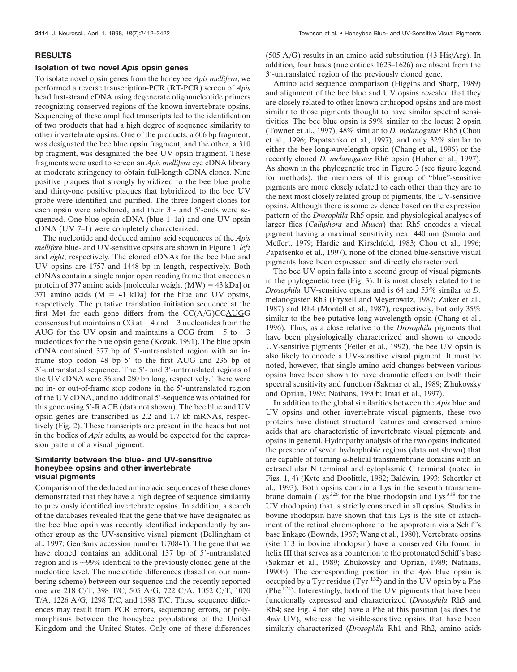#### **RESULTS**

#### **Isolation of two novel** *Apis* **opsin genes**

To isolate novel opsin genes from the honeybee *Apis mellifera*, we performed a reverse transcription-PCR (RT-PCR) screen of *Apis* head first-strand cDNA using degenerate oligonucleotide primers recognizing conserved regions of the known invertebrate opsins. Sequencing of these amplified transcripts led to the identification of two products that had a high degree of sequence similarity to other invertebrate opsins. One of the products, a 606 bp fragment, was designated the bee blue opsin fragment, and the other, a 310 bp fragment, was designated the bee UV opsin fragment. These fragments were used to screen an *Apis mellifera* eye cDNA library at moderate stringency to obtain full-length cDNA clones. Nine positive plaques that strongly hybridized to the bee blue probe and thirty-one positive plaques that hybridized to the bee UV probe were identified and purified. The three longest clones for each opsin were subcloned, and their  $3'$ - and  $5'$ -ends were sequenced. One blue opsin cDNA (blue 1–1a) and one UV opsin cDNA (UV 7–1) were completely characterized.

The nucleotide and deduced amino acid sequences of the *Apis mellifera* blue- and UV-sensitive opsins are shown in Figure 1, *left* and *right*, respectively. The cloned cDNAs for the bee blue and UV opsins are 1757 and 1448 bp in length, respectively. Both cDNAs contain a single major open reading frame that encodes a protein of 377 amino acids [molecular weight  $(MW) = 43$  kDa] or 371 amino acids  $(M = 41$  kDa) for the blue and UV opsins, respectively. The putative translation initiation sequence at the first Met for each gene differs from the CC(A/G)CCAUGG consensus but maintains a CG at  $-4$  and  $-3$  nucleotides from the AUG for the UV opsin and maintains a CCG from  $-5$  to  $-3$ nucleotides for the blue opsin gene (Kozak, 1991). The blue opsin  $cDNA$  contained 377 bp of 5'-untranslated region with an inframe stop codon 48 bp  $5'$  to the first AUG and 236 bp of  $3'$ -untranslated sequence. The  $5'$ - and  $3'$ -untranslated regions of the UV cDNA were 36 and 280 bp long, respectively. There were no in- or out-of-frame stop codons in the 5'-untranslated region of the UV cDNA, and no additional 5'-sequence was obtained for this gene using  $5'$ -RACE (data not shown). The bee blue and UV opsin genes are transcribed as 2.2 and 1.7 kb mRNAs, respectively (Fig. 2). These transcripts are present in the heads but not in the bodies of *Apis* adults, as would be expected for the expression pattern of a visual pigment.

## **Similarity between the blue- and UV-sensitive honeybee opsins and other invertebrate visual pigments**

Comparison of the deduced amino acid sequences of these clones demonstrated that they have a high degree of sequence similarity to previously identified invertebrate opsins. In addition, a search of the databases revealed that the gene that we have designated as the bee blue opsin was recently identified independently by another group as the UV-sensitive visual pigment (Bellingham et al., 1997; GenBank accession number U70841). The gene that we have cloned contains an additional 137 bp of 5'-untranslated region and is  $\sim$ 99% identical to the previously cloned gene at the nucleotide level. The nucleotide differences (based on our numbering scheme) between our sequence and the recently reported one are 218 C/T, 398 T/C, 505 A/G, 722 C/A, 1052 C/T, 1070 T/A, 1226 A/G, 1298 T/C, and 1598 T/C. These sequence differences may result from PCR errors, sequencing errors, or polymorphisms between the honeybee populations of the United Kingdom and the United States. Only one of these differences

(505 A/G) results in an amino acid substitution (43 His/Arg). In addition, four bases (nucleotides 1623–1626) are absent from the 3'-untranslated region of the previously cloned gene.

Amino acid sequence comparison (Higgins and Sharp, 1989) and alignment of the bee blue and UV opsins revealed that they are closely related to other known arthropod opsins and are most similar to those pigments thought to have similar spectral sensitivities. The bee blue opsin is 59% similar to the locust 2 opsin (Towner et al., 1997), 48% similar to *D. melanogaster* Rh5 (Chou et al., 1996; Papatsenko et al., 1997), and only 32% similar to either the bee long-wavelength opsin (Chang et al., 1996) or the recently cloned *D. melanogaster* Rh6 opsin (Huber et al., 1997). As shown in the phylogenetic tree in Figure 3 (see figure legend for methods), the members of this group of "blue"-sensitive pigments are more closely related to each other than they are to the next most closely related group of pigments, the UV-sensitive opsins. Although there is some evidence based on the expression pattern of the *Drosophila* Rh5 opsin and physiological analyses of larger flies (*Calliphora* and *Musca*) that Rh5 encodes a visual pigment having a maximal sensitivity near 440 nm (Smola and Meffert, 1979; Hardie and Kirschfeld, 1983; Chou et al., 1996; Papatsenko et al., 1997), none of the cloned blue-sensitive visual pigments have been expressed and directly characterized.

The bee UV opsin falls into a second group of visual pigments in the phylogenetic tree (Fig. 3). It is most closely related to the *Drosophila* UV-sensitive opsins and is 64 and 55% similar to *D.* melanogaster Rh3 (Fryxell and Meyerowitz, 1987; Zuker et al., 1987) and Rh4 (Montell et al., 1987), respectively, but only 35% similar to the bee putative long-wavelength opsin (Chang et al., 1996). Thus, as a close relative to the *Drosophila* pigments that have been physiologically characterized and shown to encode UV-sensitive pigments (Feiler et al., 1992), the bee UV opsin is also likely to encode a UV-sensitive visual pigment. It must be noted, however, that single amino acid changes between various opsins have been shown to have dramatic effects on both their spectral sensitivity and function (Sakmar et al., 1989; Zhukovsky and Oprian, 1989; Nathans, 1990b; Imai et al., 1997).

In addition to the global similarities between the *Apis* blue and UV opsins and other invertebrate visual pigments, these two proteins have distinct structural features and conserved amino acids that are characteristic of invertebrate visual pigments and opsins in general. Hydropathy analysis of the two opsins indicated the presence of seven hydrophobic regions (data not shown) that are capable of forming  $\alpha$ -helical transmembrane domains with an extracellular N terminal and cytoplasmic C terminal (noted in Figs. 1, 4) (Kyte and Doolittle, 1982; Baldwin, 1993; Schertler et al., 1993). Both opsins contain a Lys in the seventh transmembrane domain (Lys <sup>326</sup> for the blue rhodopsin and Lys <sup>318</sup> for the UV rhodopsin) that is strictly conserved in all opsins. Studies in bovine rhodopsin have shown that this Lys is the site of attachment of the retinal chromophore to the apoprotein via a Schiff's base linkage (Bownds, 1967; Wang et al., 1980). Vertebrate opsins (site 113 in bovine rhodopsin) have a conserved Glu found in helix III that serves as a counterion to the protonated Schiff's base (Sakmar et al., 1989; Zhukovsky and Oprian, 1989; Nathans, 1990b). The corresponding position in the *Apis* blue opsin is occupied by a Tyr residue (Tyr  $^{132}$ ) and in the UV opsin by a Phe (Phe  $124$ ). Interestingly, both of the UV pigments that have been functionally expressed and characterized (*Drosophila* Rh3 and Rh4; see Fig. 4 for site) have a Phe at this position (as does the *Apis* UV), whereas the visible-sensitive opsins that have been similarly characterized (*Drosophila* Rh1 and Rh2, amino acids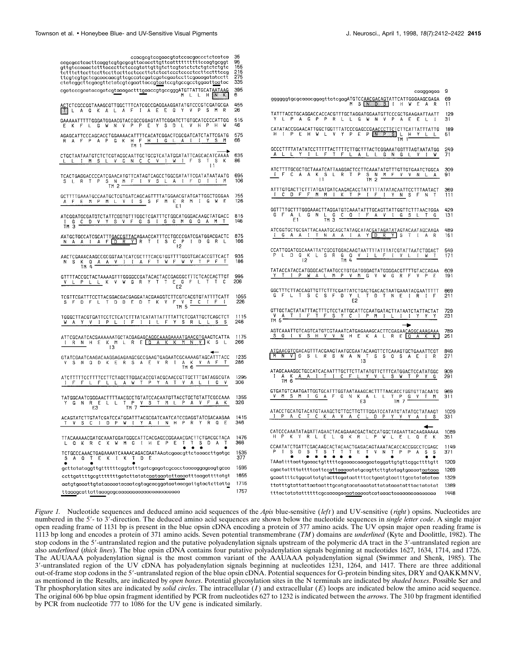| ccacgcgtccgaacgtatccacgaccctctcatca<br>gttgtccaaactctttacccttctcccgtattgttgtcttcgtatctctctgtctctgtc<br>tctttcttccttccttccttccttcctcccttctctcctccctccctccttcctttccg<br>cgatcccgcataccgatcgtaaagactttgaaccgtgccgggATGTTATTGCATAATAAG<br>M L L H <mark>N K</mark> | 35<br>95<br>155<br>215<br>275<br>335<br>395<br>6 | caaggagaa                                                                                                           |
|----------------------------------------------------------------------------------------------------------------------------------------------------------------------------------------------------------------------------------------------------------------|--------------------------------------------------|---------------------------------------------------------------------------------------------------------------------|
| ICTCGCCGGTAAAGCGTTGGCTTTCATCGCCGAGGAAGGATATGTCCCGTCGATGCGA<br>EN LAGKAL AFIA E E GYVPS MR                                                                                                                                                                      | 455<br>26                                        | ggggggtgcgcaaacggagttatcgagATGTCCAACGACAGTATTCATTGGGAAGCGAGA<br>M S N D S I H W E A R                               |
| GAAAAATTTTTGGGATGGAACGTACCGCCGGAGTATTCGGATCTTGTGCATCCCCATTGG<br>EKFLGWNVPPEYSDLVHPPHW                                                                                                                                                                          | 515<br>46                                        | Y L P A G P P R L L G W N V P A E E L I                                                                             |
| AGAGCATTCCCAGCACCTGGAAAACATTTTCACATCGGACTCGCGATCATCTATTCGATG<br>R A F P A P G K H F <u>H I G L A I I Y S M</u><br>TM I H I G L A I I Y S M                                                                                                                     | 575<br>66                                        |                                                                                                                     |
| CTGCTAATAATGTCTCTCGTAGGCAATTGCTGCGTCATATGGATATTCAGCACATCAAAA 635<br><u>LLLIMSLVGNCCVIWI</u> FSTSK 86<br>I1                                                                                                                                                     |                                                  | GCCCTTTTATATATCCTTTTTACTTTTCTTGCTTTACTCGGAAATGGTTTAGTAATATGG<br>A L L Y I L F T F L A L L G N G L V I W             |
| TCACTGAGGACCCCATCGAACATGTTCATAGTCAGCCTGGCGATATTCGATATAATAATG<br>S L R T P S N M F L V S L A L F D I I M<br>$TM 2 -$                                                                                                                                            | 695<br>106                                       | I F C A A K S L R T P S N M F V V N L A<br>TM 2                                                                     |
| GCTTTTGAAATGCCAATGCTCGTGATCAGCAGTTTTATGGAACGTATGATTGGCTGGGAA<br>A F E M P M L V I S S F M E R M I G W E                                                                                                                                                        | 755<br>126                                       | ATTTGTGACTTCTTTATGATGATCAAGACACCTATTTTTATATACAATTCCTTTAATACT<br><u>I C D F F M M I K T P I F I Y N</u> S F N T      |
| ATCGGATGCGATGTCTATTCGGTGTTTGGCTCGATTTCTGGCATGGGACAAGCTATGACC<br>I G C D V Y S V F G S I S G M G Q A M T                                                                                                                                                        | 815<br>146                                       | GGTTTTGCTTTGGGAAACTTAGGATGTCAAATATTTGCAGTTATTGGTTCTTTAACTGGA<br>G F A L G N L G <u>C Q I F A V I G S L T G</u>      |
| TM <sub>3</sub>                                                                                                                                                                                                                                                | 875<br>166                                       |                                                                                                                     |
| AACTCGAAACAAGCCGCGGTAATCATCGCTITCACGTGTTTGGGTGACACCGTTCACT<br>N S K Q A A V I I A F T W F W V T P F T<br>TM 4 A V I I A F T W F W V T P F T                                                                                                                    | 935<br>186                                       | P L D G K L S R G Q V I L F I V L I W T<br>[2 TM 4                                                                  |
| GTTTTACCGCTACTAAAAGTTTGGGGCCGATACACTACCGAGGGCTTTCTCACCACTTGT<br>V L P L L K V W G R Y T T E G F L T T C                                                                                                                                                        | 995<br>206                                       | TATACCATACCATGGGCACTAATGCCTGTGATGGGAGTATGGGGACGTTTTGTACCAGAA<br><u>Y T I P W A L M P V M G</u> V W G R F V P E      |
| TCGTTCGATTTCCTTACGGACGACGAGGATACGAAGGTCTTCGTCACGTGTATTTTCATT<br>SFDFLTDDEDTKVFV <mark>TCIF</mark><br>$TM$ 5                                                                                                                                                    | 1055<br>226                                      | GGCTTTCTTACCAGTTGTTCTTTCGATTATCTGACTGACACTAATGAAATACGAATTTTT<br>GFLTSCSFDYLTDTNEIRIF<br>E2                          |
| TGGGCTTACGTGATTCCTCTCATCTTTATCATATTATTTTATTCTCGATTGCTCAGCTCT<br>WAYVIPLIFILLFYSRLLSS                                                                                                                                                                           | 1115<br>246                                      | GTTGCTACTATATTTACTTTCTCCTATTGCATTCCAATGATACTTATAATCTATTACTAT<br>VATIFTFSYCIPMILIIYY<br>╼                            |
| ATTCGCAATCACGAAAAAATGCTACGAGAG <u>CAGGCAAAGAAAATGAACGTG</u> AAGTCATTA<br>IRN HEKMLRE <mark>GAKKMNV</mark> KSL                                                                                                                                                  | 1175<br>266                                      | AGTCAAATTGTCAGTCATGTCGTAAATCATGAGAAAGCACTTCGAGAACAGGCAAAGAAA<br>SQLVSHVVNHEKALREQAKK                                |
| 13<br>GTATCGAATCAAGACAAGGAGAGAAGCGCCGAAGTGAGAATCGCAAAAGTAGCATTTACC<br>V S N Q D K E R S A E V R I A K <u>V A F</u><br>TM 6                                                                                                                                     | 1235<br>286                                      | <u>\TGAACGTC</u> GACAGTTTACGAAGTAATGCGAATACAAGTTCTCAAAGTGCTGAAATTCGT<br>M N V D S L R S N A N T S S O S A E I R     |
| ATCTTTTTCCTTTTCCTTCTAGCTTGGACACCGTACGCAACCGTTGCTTTGATAGGCGTA<br>I F F L F L L A W T P Y A T V A L I G V                                                                                                                                                        | 1295<br>306                                      | ATAGCAAAGGCTGCCATCACAATTTGCTTCTTATATGTTCTTTCATGGACTCCATATGGC<br>I A K A A I T I C F L Y V L S W T P Y G             |
| TATGGCAATCGGGAACTTTTAACGCCTGTATCCACAATGTTACCTGCTGTATTCGCCAAA<br>Y G N R E L L T P V S T M L P A V F A K<br>E3 TM 7                                                                                                                                             | 1355<br>326                                      | GTGATGTCAATGATTGGTGCATTTGGTAATAAAGCACTTTTAACACCTGGTGTTACAATG<br><u>MSMIGA</u> FGNKALLTP <u>GVTM</u><br>E3 TM7<br>E3 |
| T V S C I D P W I Y A I N H P R Y R Q E                                                                                                                                                                                                                        | 1415<br>346                                      | ATACCIGCATGTACATGTAAAGCTGTTGCTTGTTTGGATCCATATGTATATGCTATAAGT<br><u>I P A C T C K A V A C L D P Y V Y A I S</u>      |
| TTACAAAAACGATGCAAATGGATGGGCATTCACGAGCCGGAAACGACTTCTGACGCTACA                                                                                                                                                                                                   | 1475<br>366                                      | CATCCCAAATATAGATTAGAACTACAGAAACGACTACCATGGCTAGAATTACAAGAAAAA<br>H P K Y R L E L Q K R L P W L E L Q E K             |
| Q K R C K W M G I H E P E T T S D A T<br>TCTGCCCAAACTGAGAAAATCAAAACAGACGAATAAatcgaacgttctaaaccttgatgc<br>S A Q T E K I K I D E                                                                                                                                 | 1535<br>377                                      | CCAATATCTGATTCGACAAGCACTACAACTGAGACAGTAAATACACCACCGGCCTCGAGC                                                        |
| gcttatataggttgttttttcggtatttgatcgagatcgcacctaaaaggagaagtgcaa                                                                                                                                                                                                   | 1595                                             | TAAattttaattgaaactgtttttcgaaaacaaagaataggattgtgttcggcttttgtt                                                        |
| ccttgattttgcgtttttttgatcttatatc <u>aataaatattaaa</u> atttaagattttatgt                                                                                                                                                                                          | 1655                                             | cgactattttattttcattcc <u>attaaa</u> aatatgcagttcttgtatagtgaaaat <u>aataaa</u>                                       |
| aatgtgaaattgtataaaaatacaatcgtagcacggataataacgattgtactcttatta                                                                                                                                                                                                   | 1715                                             | ttatttgtattattaataatttgcatgtacataaatattatataaatatttactatatat                                                        |
|                                                                                                                                                                                                                                                                | 1757                                             |                                                                                                                     |

*Figure 1.* Nucleotide sequences and deduced amino acid sequences of the *Apis* blue-sensitive (*left*) and UV-sensitive (*right*) opsins. Nucleotides are numbered in the 5'- to 3'-direction. The deduced amino acid sequences are shown below the nucleotide sequences in *single letter code*. A single major open reading frame of 1131 bp is present in the blue opsin cDNA encoding a protein of 377 amino acids. The UV opsin major open reading frame is 1113 bp long and encodes a protein of 371 amino acids. Seven potential transmembrane (*TM*) domains are *underlined* (Kyte and Doolittle, 1982). The stop codons in the 5'-untranslated region and the putative polyadenylation signals upstream of the polymeric dA tract in the 3'-untranslated region are also *underlined* (*thick lines*). The blue opsin cDNA contains four putative polyadenylation signals beginning at nucleotides 1627, 1634, 1714, and 1726. The AUUAAA polyadenylation signal is the most common variant of the AAUAAA polyadenylation signal (Swimmer and Shenk, 1985). The 3'-untranslated region of the UV cDNA has polyadenylation signals beginning at nucleotides 1231, 1264, and 1417. There are three additional out-of-frame stop codons in the 59-untranslated region of the blue opsin cDNA. Potential sequences for G-protein binding sites, DRY and QAKKMNV, as mentioned in the Results, are indicated by *open boxes*. Potential glycosylation sites in the N terminals are indicated by *shaded boxes*. Possible Ser and Thr phosphorylation sites are indicated by *solid circles*. The intracellular (*I*) and extracellular (*E*) loops are indicated below the amino acid sequence. The original 606 bp blue opsin fragment identified by PCR from nucleotides 627 to 1232 is indicated between the *arrows*. The 310 bp fragment identified by PCR from nucleotide 777 to 1086 for the UV gene is indicated similarly.

 $\mathbf{q}$ 69<br>11 129<br>31 189<br>51

 $\frac{249}{71}$ 

309<br>91

369<br>111

 $429$ 

489  $151$ 

549<br>171

609<br>191

669<br>211

729<br>231

789<br>251

849<br>271

909<br>291

969<br>311

1029<br>331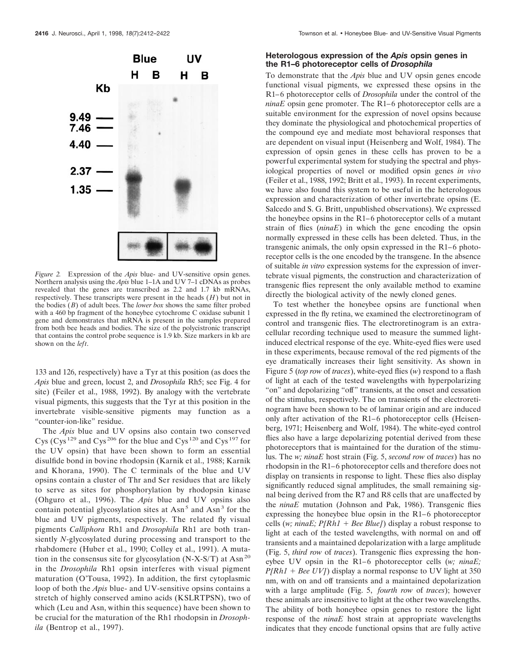

*Figure 2.* Expression of the *Apis* blue- and UV-sensitive opsin genes. Northern analysis using the *Apis* blue 1–1A and UV 7–1 cDNAs as probes revealed that the genes are transcribed as 2.2 and 1.7 kb mRNAs, respectively. These transcripts were present in the heads (*H*) but not in the bodies (*B*) of adult bees. The *lower box* shows the same filter probed with a 460 bp fragment of the honeybee cytochrome C oxidase subunit 1 gene and demonstrates that mRNA is present in the samples prepared from both bee heads and bodies. The size of the polycistronic transcript that contains the control probe sequence is 1.9 kb. Size markers in kb are shown on the *left*.

133 and 126, respectively) have a Tyr at this position (as does the *Apis* blue and green, locust 2, and *Drosophila* Rh5; see Fig. 4 for site) (Feiler et al., 1988, 1992). By analogy with the vertebrate visual pigments, this suggests that the Tyr at this position in the invertebrate visible-sensitive pigments may function as a "counter-ion-like" residue.

The *Apis* blue and UV opsins also contain two conserved Cys (Cys<sup>129</sup> and Cys<sup>206</sup> for the blue and Cys<sup>120</sup> and Cys<sup>197</sup> for the UV opsin) that have been shown to form an essential disulfide bond in bovine rhodopsin (Karnik et al., 1988; Karnik and Khorana, 1990). The C terminals of the blue and UV opsins contain a cluster of Thr and Ser residues that are likely to serve as sites for phosphorylation by rhodopsin kinase (Ohguro et al., 1996). The *Apis* blue and UV opsins also contain potential glycosylation sites at  $\text{Asn}^5$  and  $\text{Asn}^3$  for the blue and UV pigments, respectively. The related fly visual pigments *Calliphora* Rh1 and *Drosophila* Rh1 are both transiently *N*-glycosylated during processing and transport to the rhabdomere (Huber et al., 1990; Colley et al., 1991). A mutation in the consensus site for glycosylation (N-X-S/T) at Asn<sup>20</sup> in the *Drosophila* Rh1 opsin interferes with visual pigment maturation (O'Tousa, 1992). In addition, the first cytoplasmic loop of both the *Apis* blue- and UV-sensitive opsins contains a stretch of highly conserved amino acids (KSLRTPSN), two of which (Leu and Asn, within this sequence) have been shown to be crucial for the maturation of the Rh1 rhodopsin in *Drosophila* (Bentrop et al., 1997).

# **Heterologous expression of the** *Apis* **opsin genes in the R1–6 photoreceptor cells of** *Drosophila*

To demonstrate that the *Apis* blue and UV opsin genes encode functional visual pigments, we expressed these opsins in the R1–6 photoreceptor cells of *Drosophila* under the control of the *ninaE* opsin gene promoter. The R1–6 photoreceptor cells are a suitable environment for the expression of novel opsins because they dominate the physiological and photochemical properties of the compound eye and mediate most behavioral responses that are dependent on visual input (Heisenberg and Wolf, 1984). The expression of opsin genes in these cells has proven to be a powerful experimental system for studying the spectral and physiological properties of novel or modified opsin genes *in vivo* (Feiler et al., 1988, 1992; Britt et al., 1993). In recent experiments, we have also found this system to be useful in the heterologous expression and characterization of other invertebrate opsins (E. Salcedo and S. G. Britt, unpublished observations). We expressed the honeybee opsins in the R1–6 photoreceptor cells of a mutant strain of flies (*ninaE*) in which the gene encoding the opsin normally expressed in these cells has been deleted. Thus, in the transgenic animals, the only opsin expressed in the R1–6 photoreceptor cells is the one encoded by the transgene. In the absence of suitable *in vitro* expression systems for the expression of invertebrate visual pigments, the construction and characterization of transgenic flies represent the only available method to examine directly the biological activity of the newly cloned genes.

To test whether the honeybee opsins are functional when expressed in the fly retina, we examined the electroretinogram of control and transgenic flies. The electroretinogram is an extracellular recording technique used to measure the summed lightinduced electrical response of the eye. White-eyed flies were used in these experiments, because removal of the red pigments of the eye dramatically increases their light sensitivity. As shown in Figure 5 (*top row* of *traces*), white-eyed flies (*w*) respond to a flash of light at each of the tested wavelengths with hyperpolarizing "on" and depolarizing "off" transients, at the onset and cessation of the stimulus, respectively. The on transients of the electroretinogram have been shown to be of laminar origin and are induced only after activation of the R1–6 photoreceptor cells (Heisenberg, 1971; Heisenberg and Wolf, 1984). The white-eyed control flies also have a large depolarizing potential derived from these photoreceptors that is maintained for the duration of the stimulus. The *w; ninaE* host strain (Fig. 5, *second row* of *traces*) has no rhodopsin in the R1–6 photoreceptor cells and therefore does not display on transients in response to light. These flies also display significantly reduced signal amplitudes, the small remaining signal being derived from the R7 and R8 cells that are unaffected by the *ninaE* mutation (Johnson and Pak, 1986). Transgenic flies expressing the honeybee blue opsin in the R1–6 photoreceptor cells (*w*; *ninaE*;  $P[Rh1 + Bee Blue]$ ) display a robust response to light at each of the tested wavelengths, with normal on and off transients and a maintained depolarization with a large amplitude (Fig. 5, *third row* of *traces*). Transgenic flies expressing the honeybee UV opsin in the R1–6 photoreceptor cells (*w; ninaE;*  $P[Rh1 + Bee UV]$  display a normal response to UV light at 350 nm, with on and off transients and a maintained depolarization with a large amplitude (Fig. 5, *fourth row* of *traces*); however these animals are insensitive to light at the other two wavelengths. The ability of both honeybee opsin genes to restore the light response of the *ninaE* host strain at appropriate wavelengths indicates that they encode functional opsins that are fully active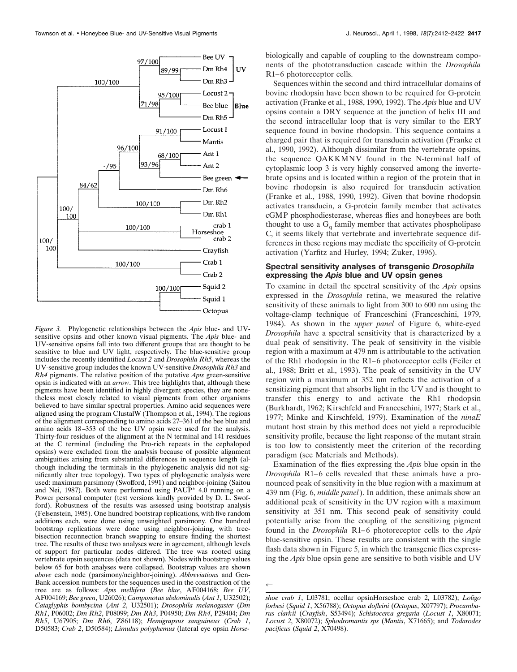

*Figure 3.* Phylogenetic relationships between the *Apis* blue- and UVsensitive opsins and other known visual pigments. The *Apis* blue- and UV-sensitive opsins fall into two different groups that are thought to be sensitive to blue and UV light, respectively. The blue-sensitive group includes the recently identified *Locust 2* and *Drosophila Rh5*, whereas the UV-sensitive group includes the known UV-sensitive *Drosophila Rh3* and *Rh4* pigments. The relative position of the putative *Apis* green-sensitive opsin is indicated with an *arrow*. This tree highlights that, although these pigments have been identified in highly divergent species, they are nonetheless most closely related to visual pigments from other organisms believed to have similar spectral properties. Amino acid sequences were aligned using the program ClustalW (Thompson et al., 1994). The regions of the alignment corresponding to amino acids 27–361 of the bee blue and amino acids 18–353 of the bee UV opsin were used for the analysis. Thirty-four residues of the alignment at the N terminal and 141 residues at the C terminal (including the Pro-rich repeats in the cephalopod opsins) were excluded from the analysis because of possible alignment ambiguities arising from substantial differences in sequence length (although including the terminals in the phylogenetic analysis did not significantly alter tree topology). Two types of phylogenetic analysis were used: maximum parsimony (Swofford, 1991) and neighbor-joining (Saitou and Nei, 1987). Both were performed using PAUP\* 4.0 running on a Power personal computer (test versions kindly provided by D. L. Swofford). Robustness of the results was assessed using bootstrap analysis (Felsenstein, 1985). One hundred bootstrap replications, with five random additions each, were done using unweighted parsimony. One hundred bootstrap replications were done using neighbor-joining, with treebisection reconnection branch swapping to ensure finding the shortest tree. The results of these two analyses were in agreement, although levels of support for particular nodes differed. The tree was rooted using vertebrate opsin sequences (data not shown). Nodes with bootstrap values below 65 for both analyses were collapsed. Bootstrap values are shown *above* each node (parsimony/neighbor-joining). *Abbreviations* and Gen-Bank accession numbers for the sequences used in the construction of the tree are as follows: *Apis mellifera* (*Bee blue*, AF004168; *Bee UV*, AF004169; *Bee green*, U26026); *Camponotus abdominalis* (*Ant 1*, U32502); *Cataglyphis bombycina* (*Ant 2*, U32501); *Drosophila melanogaster* (*Dm Rh1*, P06002; *Dm Rh2*, P08099; *Dm Rh3*, P04950; *Dm Rh4*, P29404; *Dm Rh5*, U67905; *Dm Rh6*, Z86118); *Hemigrapsus sanguineus* (*Crab 1*, D50583; *Crab 2*, D50584); *Limulus polyphemus* (lateral eye opsin *Horse-*

biologically and capable of coupling to the downstream components of the phototransduction cascade within the *Drosophila* R1–6 photoreceptor cells.

Sequences within the second and third intracellular domains of bovine rhodopsin have been shown to be required for G-protein activation (Franke et al., 1988, 1990, 1992). The *Apis* blue and UV opsins contain a DRY sequence at the junction of helix III and the second intracellular loop that is very similar to the ERY sequence found in bovine rhodopsin. This sequence contains a charged pair that is required for transducin activation (Franke et al., 1990, 1992). Although dissimilar from the vertebrate opsins, the sequence QAKKMNV found in the N-terminal half of cytoplasmic loop 3 is very highly conserved among the invertebrate opsins and is located within a region of the protein that in bovine rhodopsin is also required for transducin activation (Franke et al., 1988, 1990, 1992). Given that bovine rhodopsin activates transducin, a G-protein family member that activates cGMP phosphodiesterase, whereas flies and honeybees are both thought to use a  $G_q$  family member that activates phospholipase C, it seems likely that vertebrate and invertebrate sequence differences in these regions may mediate the specificity of G-protein activation (Yarfitz and Hurley, 1994; Zuker, 1996).

## **Spectral sensitivity analyses of transgenic** *Drosophila* **expressing the** *Apis* **blue and UV opsin genes**

To examine in detail the spectral sensitivity of the *Apis* opsins expressed in the *Drosophila* retina, we measured the relative sensitivity of these animals to light from 300 to 600 nm using the voltage-clamp technique of Franceschini (Franceschini, 1979, 1984). As shown in the *upper panel* of Figure 6, white-eyed *Drosophila* have a spectral sensitivity that is characterized by a dual peak of sensitivity. The peak of sensitivity in the visible region with a maximum at 479 nm is attributable to the activation of the Rh1 rhodopsin in the R1–6 photoreceptor cells (Feiler et al., 1988; Britt et al., 1993). The peak of sensitivity in the UV region with a maximum at 352 nm reflects the activation of a sensitizing pigment that absorbs light in the UV and is thought to transfer this energy to and activate the Rh1 rhodopsin (Burkhardt, 1962; Kirschfeld and Franceschini, 1977; Stark et al., 1977; Minke and Kirschfeld, 1979). Examination of the *ninaE* mutant host strain by this method does not yield a reproducible sensitivity profile, because the light response of the mutant strain is too low to consistently meet the criterion of the recording paradigm (see Materials and Methods).

Examination of the flies expressing the *Apis* blue opsin in the *Drosophila* R1–6 cells revealed that these animals have a pronounced peak of sensitivity in the blue region with a maximum at 439 nm (Fig. 6, *middle panel*). In addition, these animals show an additional peak of sensitivity in the UV region with a maximum sensitivity at 351 nm. This second peak of sensitivity could potentially arise from the coupling of the sensitizing pigment found in the *Drosophila* R1–6 photoreceptor cells to the *Apis* blue-sensitive opsin. These results are consistent with the single flash data shown in Figure 5, in which the transgenic flies expressing the *Apis* blue opsin gene are sensitive to both visible and UV

 $\leftarrow$ 

*shoe crab 1*, L03781; ocellar opsinHorseshoe crab 2, L03782); *Loligo forbesi* (*Squid 1*, X56788); *Octopus dofleini* (*Octopus*, X07797); *Procambarus clarkii* (*Crayfish*, S53494); *Schistocerca gregaria* (*Locust 1*, X80071; *Locust 2*, X80072); *Sphodromantis sps* (*Mantis*, X71665); and *Todarodes pacificus* (*Squid 2*, X70498).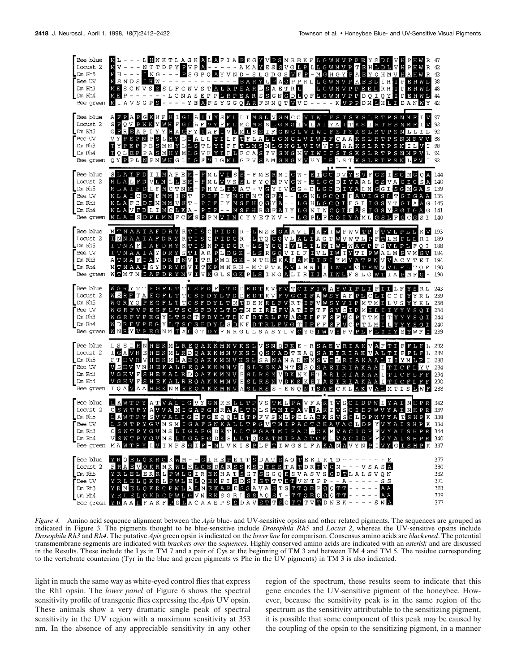

*Figure 4.* Amino acid sequence alignment between the *Apis* blue- and UV-sensitive opsins and other related pigments. The sequences are grouped as indicated in Figure 3. The pigments thought to be blue-sensitive include *Drosophila Rh5* and *Locust 2*, whereas the UV-sensitive opsins include *Drosophila Rh3* and *Rh4*. The putative *Apis* green opsin is indicated on the *lower line* for comparison. Consensus amino acids are *blackened*. The potential transmembrane segments are indicated with *brackets over* the *sequences*. Highly conserved amino acids are indicated with an *asterisk* and are discussed in the Results. These include the Lys in TM 7 and a pair of Cys at the beginning of TM 3 and between TM 4 and TM 5. The residue corresponding to the vertebrate counterion (Tyr in the blue and green pigments vs Phe in the UV pigments) in TM 3 is also indicated.

light in much the same way as white-eyed control flies that express the Rh1 opsin. The *lower panel* of Figure 6 shows the spectral sensitivity profile of transgenic flies expressing the *Apis* UV opsin. These animals show a very dramatic single peak of spectral sensitivity in the UV region with a maximum sensitivity at 353 nm. In the absence of any appreciable sensitivity in any other

region of the spectrum, these results seem to indicate that this gene encodes the UV-sensitive pigment of the honeybee. However, because the sensitivity peak is in the same region of the spectrum as the sensitivity attributable to the sensitizing pigment, it is possible that some component of this peak may be caused by the coupling of the opsin to the sensitizing pigment, in a manner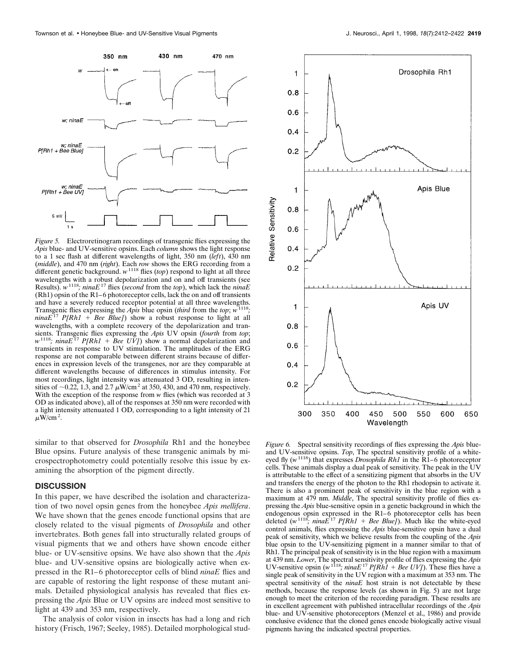

*Figure 5.* Electroretinogram recordings of transgenic flies expressing the *Apis* blue- and UV-sensitive opsins. Each *column* shows the light response to a 1 sec flash at different wavelengths of light, 350 nm (*left*), 430 nm (*middle*), and 470 nm (*right*). Each *row* shows the ERG recording from a different genetic background. *w*<sup>1118</sup> flies (*top*) respond to light at all three wavelengths with a robust depolarization and on and off transients (see Results). *w*1118*; ninaE*<sup>17</sup> flies (*second* from the *top*), which lack the *ninaE* (Rh1) opsin of the R1–6 photoreceptor cells, lack the on and off transients and have a severely reduced receptor potential at all three wavelengths. Transgenic flies expressing the *Apis* blue opsin (*third* from the *top*; *w*1118*; ninaE*<sup>17</sup> *P[Rh1* + *Bee Blue]*) show a robust response to light at all wavelengths, with a complete recovery of the depolarization and transients. Transgenic flies expressing the *Apis* UV opsin (*fourth* from *top*;  $w^{1118}$ *; ninaE*<sup>17</sup> *P[Rh1* + *Bee UV]*) show a normal depolarization and transients in response to UV stimulation. The amplitudes of the ERG response are not comparable between different strains because of differences in expression levels of the transgenes, nor are they comparable at different wavelengths because of differences in stimulus intensity. For most recordings, light intensity was attenuated 3 OD, resulting in intensities of  $\sim$ 0.22, 1.3, and 2.7  $\mu$ W/cm<sup>2</sup> at 350, 430, and 470 nm, respectively. With the exception of the response from *w* flies (which was recorded at 3 OD as indicated above), all of the responses at 350 nm were recorded with a light intensity attenuated 1 OD, corresponding to a light intensity of 21  $\mu$ W/cm<sup>2</sup>.

similar to that observed for *Drosophila* Rh1 and the honeybee Blue opsins. Future analysis of these transgenic animals by microspectrophotometry could potentially resolve this issue by examining the absorption of the pigment directly.

#### **DISCUSSION**

In this paper, we have described the isolation and characterization of two novel opsin genes from the honeybee *Apis mellifera*. We have shown that the genes encode functional opsins that are closely related to the visual pigments of *Drosophila* and other invertebrates. Both genes fall into structurally related groups of visual pigments that we and others have shown encode either blue- or UV-sensitive opsins. We have also shown that the *Apis* blue- and UV-sensitive opsins are biologically active when expressed in the R1–6 photoreceptor cells of blind *ninaE* flies and are capable of restoring the light response of these mutant animals. Detailed physiological analysis has revealed that flies expressing the *Apis* Blue or UV opsins are indeed most sensitive to light at 439 and 353 nm, respectively.

The analysis of color vision in insects has had a long and rich history (Frisch, 1967; Seeley, 1985). Detailed morphological stud-



*Figure 6.* Spectral sensitivity recordings of flies expressing the *Apis* blueand UV-sensitive opsins. *Top*, The spectral sensitivity profile of a whiteeyed fly ( $w^{1118}$ ) that expresses *Drosophila Rh1* in the R1–6 photoreceptor cells. These animals display a dual peak of sensitivity. The peak in the UV is attributable to the effect of a sensitizing pigment that absorbs in the UV and transfers the energy of the photon to the Rh1 rhodopsin to activate it. There is also a prominent peak of sensitivity in the blue region with a maximum at 479 nm. *Middle*, The spectral sensitivity profile of flies expressing the *Apis* blue-sensitive opsin in a genetic background in which the endogenous opsin expressed in the R1–6 photoreceptor cells has been deleted  $(w^{1118}, \text{nina}E^{17} P[Rh1 + \text{Bee Blue}])$ . Much like the white-eyed control animals, flies expressing the *Apis* blue-sensitive opsin have a dual peak of sensitivity, which we believe results from the coupling of the *Apis* blue opsin to the UV-sensitizing pigment in a manner similar to that of Rh1. The principal peak of sensitivity is in the blue region with a maximum at 439 nm. *Lower*, The spectral sensitivity profile of flies expressing the *Apis* UV-sensitive opsin (*w*1118*; ninaE*<sup>17</sup> *P[Rh1* 1 *Bee UV]*). These flies have a single peak of sensitivity in the UV region with a maximum at 353 nm. The spectral sensitivity of the *ninaE* host strain is not detectable by these methods, because the response levels (as shown in Fig. 5) are not large enough to meet the criterion of the recording paradigm. These results are in excellent agreement with published intracellular recordings of the *Apis* blue- and UV-sensitive photoreceptors (Menzel et al., 1986) and provide conclusive evidence that the cloned genes encode biologically active visual pigments having the indicated spectral properties.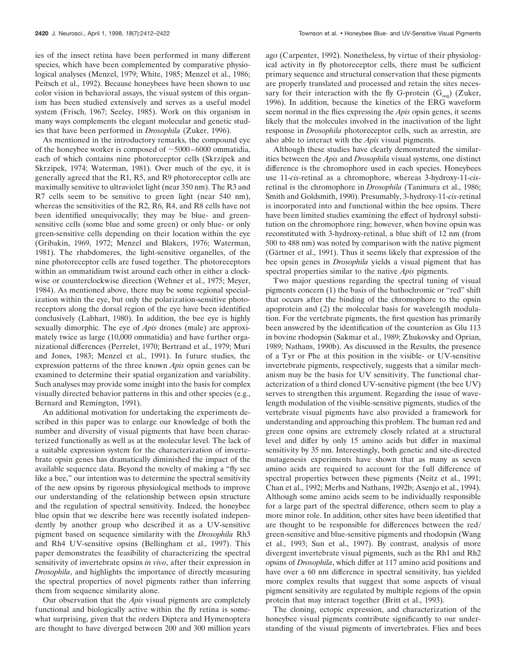ies of the insect retina have been performed in many different species, which have been complemented by comparative physiological analyses (Menzel, 1979; White, 1985; Menzel et al., 1986; Peitsch et al., 1992). Because honeybees have been shown to use color vision in behavioral assays, the visual system of this organism has been studied extensively and serves as a useful model system (Frisch, 1967; Seeley, 1985). Work on this organism in many ways complements the elegant molecular and genetic studies that have been performed in *Drosophila* (Zuker, 1996).

As mentioned in the introductory remarks, the compound eye of the honeybee worker is composed of  $\sim$ 5000–6000 ommatidia, each of which contains nine photoreceptor cells (Skrzipek and Skrzipek, 1974; Waterman, 1981). Over much of the eye, it is generally agreed that the R1, R5, and R9 photoreceptor cells are maximally sensitive to ultraviolet light (near 350 nm). The R3 and R7 cells seem to be sensitive to green light (near 540 nm), whereas the sensitivities of the R2, R6, R4, and R8 cells have not been identified unequivocally; they may be blue- and greensensitive cells (some blue and some green) or only blue- or only green-sensitive cells depending on their location within the eye (Gribakin, 1969, 1972; Menzel and Blakers, 1976; Waterman, 1981). The rhabdomeres, the light-sensitive organelles, of the nine photoreceptor cells are fused together. The photoreceptors within an ommatidium twist around each other in either a clockwise or counterclockwise direction (Wehner et al., 1975; Meyer, 1984). As mentioned above, there may be some regional specialization within the eye, but only the polarization-sensitive photoreceptors along the dorsal region of the eye have been identified conclusively (Labhart, 1980). In addition, the bee eye is highly sexually dimorphic. The eye of *Apis* drones (male) are approximately twice as large (10,000 ommatidia) and have further organizational differences (Perrelet, 1970; Bertrand et al., 1979; Muri and Jones, 1983; Menzel et al., 1991). In future studies, the expression patterns of the three known *Apis* opsin genes can be examined to determine their spatial organization and variability. Such analyses may provide some insight into the basis for complex visually directed behavior patterns in this and other species (e.g., Bernard and Remington, 1991).

An additional motivation for undertaking the experiments described in this paper was to enlarge our knowledge of both the number and diversity of visual pigments that have been characterized functionally as well as at the molecular level. The lack of a suitable expression system for the characterization of invertebrate opsin genes has dramatically diminished the impact of the available sequence data. Beyond the novelty of making a "fly see like a bee," our intention was to determine the spectral sensitivity of the new opsins by rigorous physiological methods to improve our understanding of the relationship between opsin structure and the regulation of spectral sensitivity. Indeed, the honeybee blue opsin that we describe here was recently isolated independently by another group who described it as a UV-sensitive pigment based on sequence similarity with the *Drosophila* Rh3 and Rh4 UV-sensitive opsins (Bellingham et al., 1997). This paper demonstrates the feasibility of characterizing the spectral sensitivity of invertebrate opsins *in vivo*, after their expression in *Drosophila*, and highlights the importance of directly measuring the spectral properties of novel pigments rather than inferring them from sequence similarity alone.

Our observation that the *Apis* visual pigments are completely functional and biologically active within the fly retina is somewhat surprising, given that the orders Diptera and Hymenoptera are thought to have diverged between 200 and 300 million years ago (Carpenter, 1992). Nonetheless, by virtue of their physiological activity in fly photoreceptor cells, there must be sufficient primary sequence and structural conservation that these pigments are properly translated and processed and retain the sites necessary for their interaction with the fly G-protein  $(G_{\alpha\alpha})$  (Zuker, 1996). In addition, because the kinetics of the ERG waveform seem normal in the flies expressing the *Apis* opsin genes, it seems likely that the molecules involved in the inactivation of the light response in *Drosophila* photoreceptor cells, such as arrestin, are also able to interact with the *Apis* visual pigments.

Although these studies have clearly demonstrated the similarities between the *Apis* and *Drosophila* visual systems, one distinct difference is the chromophore used in each species. Honeybees use 11-*cis*-retinal as a chromophore, whereas 3-hydroxy-11-*cis*retinal is the chromophore in *Drosophila* (Tanimura et al., 1986; Smith and Goldsmith, 1990). Presumably, 3-hydroxy-11-*cis*-retinal is incorporated into and functional within the bee opsins. There have been limited studies examining the effect of hydroxyl substitution on the chromophore ring; however, when bovine opsin was reconstituted with 3-hydroxy-retinal, a blue shift of 12 nm (from 500 to 488 nm) was noted by comparison with the native pigment (Gärtner et al., 1991). Thus it seems likely that expression of the bee opsin genes in *Drosophila* yields a visual pigment that has spectral properties similar to the native *Apis* pigments.

Two major questions regarding the spectral tuning of visual pigments concern (1) the basis of the bathochromic or "red" shift that occurs after the binding of the chromophore to the opsin apoprotein and (2) the molecular basis for wavelength modulation. For the vertebrate pigments, the first question has primarily been answered by the identification of the counterion as Glu 113 in bovine rhodopsin (Sakmar et al., 1989; Zhukovsky and Oprian, 1989; Nathans, 1990b). As discussed in the Results, the presence of a Tyr or Phe at this position in the visible- or UV-sensitive invertebrate pigments, respectively, suggests that a similar mechanism may be the basis for UV sensitivity. The functional characterization of a third cloned UV-sensitive pigment (the bee UV) serves to strengthen this argument. Regarding the issue of wavelength modulation of the visible-sensitive pigments, studies of the vertebrate visual pigments have also provided a framework for understanding and approaching this problem. The human red and green cone opsins are extremely closely related at a structural level and differ by only 15 amino acids but differ in maximal sensitivity by 35 nm. Interestingly, both genetic and site-directed mutagenesis experiments have shown that as many as seven amino acids are required to account for the full difference of spectral properties between these pigments (Neitz et al., 1991; Chan et al., 1992; Merbs and Nathans, 1992b; Asenjo et al., 1994). Although some amino acids seem to be individually responsible for a large part of the spectral difference, others seem to play a more minor role. In addition, other sites have been identified that are thought to be responsible for differences between the red/ green-sensitive and blue-sensitive pigments and rhodopsin (Wang et al., 1993; Sun et al., 1997). By contrast, analysis of more divergent invertebrate visual pigments, such as the Rh1 and Rh2 opsins of *Drosophila*, which differ at 117 amino acid positions and have over a 60 nm difference in spectral sensitivity, has yielded more complex results that suggest that some aspects of visual pigment sensitivity are regulated by multiple regions of the opsin protein that may interact together (Britt et al., 1993).

The cloning, ectopic expression, and characterization of the honeybee visual pigments contribute significantly to our understanding of the visual pigments of invertebrates. Flies and bees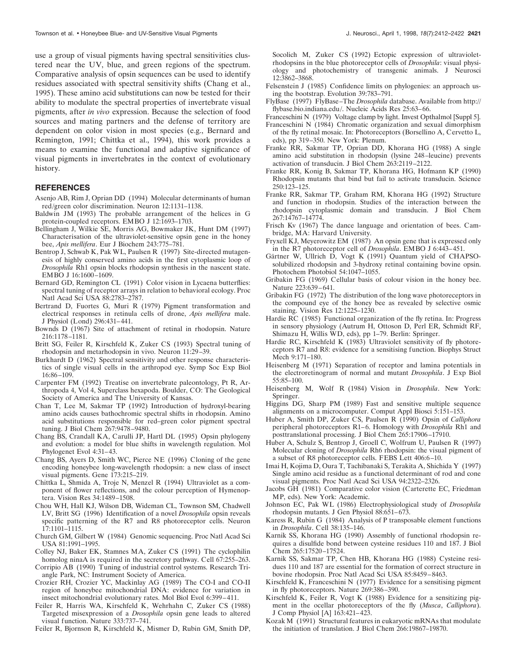use a group of visual pigments having spectral sensitivities clustered near the UV, blue, and green regions of the spectrum. Comparative analysis of opsin sequences can be used to identify residues associated with spectral sensitivity shifts (Chang et al., 1995). These amino acid substitutions can now be tested for their ability to modulate the spectral properties of invertebrate visual pigments, after *in vivo* expression. Because the selection of food sources and mating partners and the defense of territory are dependent on color vision in most species (e.g., Bernard and Remington, 1991; Chittka et al., 1994), this work provides a means to examine the functional and adaptive significance of visual pigments in invertebrates in the context of evolutionary history.

## **REFERENCES**

- Asenjo AB, Rim J, Oprian DD (1994) Molecular determinants of human red/green color discrimination. Neuron 12:1131–1138.
- Baldwin JM (1993) The probable arrangement of the helices in G protein-coupled receptors. EMBO J 12:1693–1703.
- Bellingham J, Wilkie SE, Morris AG, Bowmaker JK, Hunt DM (1997) Characterisation of the ultraviolet-sensitive opsin gene in the honey bee, *Apis mellifera*. Eur J Biochem 243:775–781.
- Bentrop J, Schwab K, Pak WL, Paulsen R (1997) Site-directed mutagenesis of highly conserved amino acids in the first cytoplasmic loop of *Drosophila* Rh1 opsin blocks rhodopsin synthesis in the nascent state. EMBO J 16:1600–1609.
- Bernard GD, Remington CL (1991) Color vision in Lycaena butterflies: spectral tuning of receptor arrays in relation to behavioral ecology. Proc Natl Acad Sci USA 88:2783–2787.
- Bertrand D, Fuortes G, Muri R (1979) Pigment transformation and electrical responses in retinula cells of drone, *Apis mellifera* male. J Physiol (Lond) 296:431–441.
- Bownds D (1967) Site of attachment of retinal in rhodopsin. Nature 216:1178–1181.
- Britt SG, Feiler R, Kirschfeld K, Zuker CS (1993) Spectral tuning of rhodopsin and metarhodopsin in vivo. Neuron 11:29–39.
- Burkhardt D (1962) Spectral sensitivity and other response characteristics of single visual cells in the arthropod eye. Symp Soc Exp Biol 16:86–109.
- Carpenter FM (1992) Treatise on invertebrate paleontology, Pt R, Arthropoda 4, Vol 4, Superclass hexapoda. Boulder, CO: The Geological Society of America and The University of Kansas.
- Chan T, Lee M, Sakmar TP (1992) Introduction of hydroxyl-bearing amino acids causes bathochromic spectral shifts in rhodopsin. Amino acid substitutions responsible for red–green color pigment spectral tuning. J Biol Chem 267:9478–9480.
- Chang BS, Crandall KA, Carulli JP, Hartl DL (1995) Opsin phylogeny and evolution: a model for blue shifts in wavelength regulation. Mol Phylogenet Evol 4:31–43.
- Chang BS, Ayers D, Smith WC, Pierce NE (1996) Cloning of the gene encoding honeybee long-wavelength rhodopsin: a new class of insect visual pigments. Gene 173:215–219.
- Chittka L, Shmida A, Troje N, Menzel R (1994) Ultraviolet as a component of flower reflections, and the colour perception of Hymenoptera. Vision Res 34:1489–1508.
- Chou WH, Hall KJ, Wilson DB, Wideman CL, Townson SM, Chadwell LV, Britt SG (1996) Identification of a novel *Drosophila* opsin reveals specific patterning of the R7 and R8 photoreceptor cells. Neuron 17:1101–1115.
- Church GM, Gilbert W (1984) Genomic sequencing. Proc Natl Acad Sci USA 81:1991–1995.
- Colley NJ, Baker EK, Stamnes MA, Zuker CS (1991) The cyclophilin homolog ninaA is required in the secretory pathway. Cell 67:255–263.
- Corripio AB (1990) Tuning of industrial control systems. Research Triangle Park, NC: Instrument Society of America.
- Crozier RH, Crozier YC, Mackinlay AG (1989) The CO-I and CO-II region of honeybee mitochondrial DNA: evidence for variation in insect mitochondrial evolutionary rates. Mol Biol Evol 6:399–411.
- Feiler R, Harris WA, Kirschfeld K, Wehrhahn C, Zuker CS (1988) Targeted misexpression of a *Drosophila* opsin gene leads to altered visual function. Nature 333:737–741.

Feiler R, Bjornson R, Kirschfeld K, Mismer D, Rubin GM, Smith DP,

Socolich M, Zuker CS (1992) Ectopic expression of ultravioletrhodopsins in the blue photoreceptor cells of *Drosophila*: visual physiology and photochemistry of transgenic animals. J Neurosci 12:3862–3868.

- Felsenstein J (1985) Confidence limits on phylogenies: an approach using the bootstrap. Evolution 39:783–791.
- FlyBase (1997) FlyBase–The *Drosophila* database. Available from http:// flybase.bio.indiana.edu/. Nucleic Acids Res 25:63–66.
- Franceschini N (1979) Voltage clamp by light. Invest Opthalmol [Suppl 5].
- Franceschini N (1984) Chromatic organization and sexual dimorphism of the fly retinal mosaic. In: Photoreceptors (Borsellino A, Cervetto L, eds), pp 319–350. New York: Plenum.
- Franke RR, Sakmar TP, Oprian DD, Khorana HG (1988) A single amino acid substitution in rhodopsin (lysine 248–leucine) prevents activation of transducin. J Biol Chem 263:2119–2122.
- Franke RR, Konig B, Sakmar TP, Khorana HG, Hofmann KP (1990) Rhodopsin mutants that bind but fail to activate transducin. Science 250:123–125.
- Franke RR, Sakmar TP, Graham RM, Khorana HG (1992) Structure and function in rhodopsin. Studies of the interaction between the rhodopsin cytoplasmic domain and transducin. J Biol Chem 267:14767–14774.
- Frisch Kv (1967) The dance language and orientation of bees. Cambridge, MA: Harvard University.
- Fryxell KJ, Meyerowitz EM (1987) An opsin gene that is expressed only in the R7 photoreceptor cell of *Drosophila*. EMBO J 6:443–451.
- Gärtner W, Ullrich D, Vogt K (1991) Quantum yield of CHAPSOsolubilized rhodopsin and 3-hydroxy retinal containing bovine opsin. Photochem Photobiol 54:1047–1055.
- Gribakin FG (1969) Cellular basis of colour vision in the honey bee. Nature 223:639–641.
- Gribakin FG (1972) The distribution of the long wave photoreceptors in the compound eye of the honey bee as revealed by selective osmic staining. Vision Res 12:1225–1230.
- Hardie RC (1985) Functional organization of the fly retina. In: Progress in sensory physiology (Autrum H, Ottoson D, Perl ER, Schmidt RF, Shimazu H, Willis WD, eds), pp 1–79. Berlin: Springer.
- Hardie RC, Kirschfeld K (1983) Ultraviolet sensitivity of fly photoreceptors R7 and R8: evidence for a sensitising function. Biophys Struct Mech 9:171–180.
- Heisenberg M (1971) Separation of receptor and lamina potentials in the electroretinogram of normal and mutant *Drosophila*. J Exp Biol 55:85–100.
- Heisenberg M, Wolf R (1984) Vision in *Drosophila*. New York: Springer.
- Higgins DG, Sharp PM (1989) Fast and sensitive multiple sequence alignments on a microcomputer. Comput Appl Biosci 5:151–153.
- Huber A, Smith DP, Zuker CS, Paulsen R (1990) Opsin of *Calliphora* peripheral photoreceptors R1–6. Homology with *Drosophila* Rh1 and posttranslational processing. J Biol Chem 265:17906–17910.
- Huber A, Schulz S, Bentrop J, Groell C, Wolfrum U, Paulsen R (1997) Molecular cloning of *Drosophila* Rh6 rhodopsin: the visual pigment of a subset of R8 photoreceptor cells. FEBS Lett 406:6–10.
- Imai H, Kojima D, Oura T, Tachibanaki S, Terakita A, Shichida Y (1997) Single amino acid residue as a functional determinant of rod and cone visual pigments. Proc Natl Acad Sci USA 94:2322–2326.
- Jacobs GH (1981) Comparative color vision (Carterette EC, Friedman MP, eds). New York: Academic.
- Johnson EC, Pak WL (1986) Electrophysiological study of *Drosophila* rhodopsin mutants. J Gen Physiol 88:651–673.
- Karess R, Rubin G (1984) Analysis of P transposable element functions in *Drosophila*. Cell 38:135–146.
- Karnik SS, Khorana HG (1990) Assembly of functional rhodopsin requires a disulfide bond between cysteine residues 110 and 187. J Biol Chem 265:17520–17524.
- Karnik SS, Sakmar TP, Chen HB, Khorana HG (1988) Cysteine residues 110 and 187 are essential for the formation of correct structure in bovine rhodopsin. Proc Natl Acad Sci USA 85:8459–8463.
- Kirschfeld K, Franceschini N (1977) Evidence for a sensitising pigment in fly photoreceptors. Nature 269:386–390.
- Kirschfeld K, Feiler R, Vogt K (1988) Evidence for a sensitizing pigment in the ocellar photoreceptors of the fly (*Musca*, *Calliphora*). J Comp Physiol [A] 163:421–423.
- Kozak M (1991) Structural features in eukaryotic mRNAs that modulate the initiation of translation. J Biol Chem 266:19867–19870.